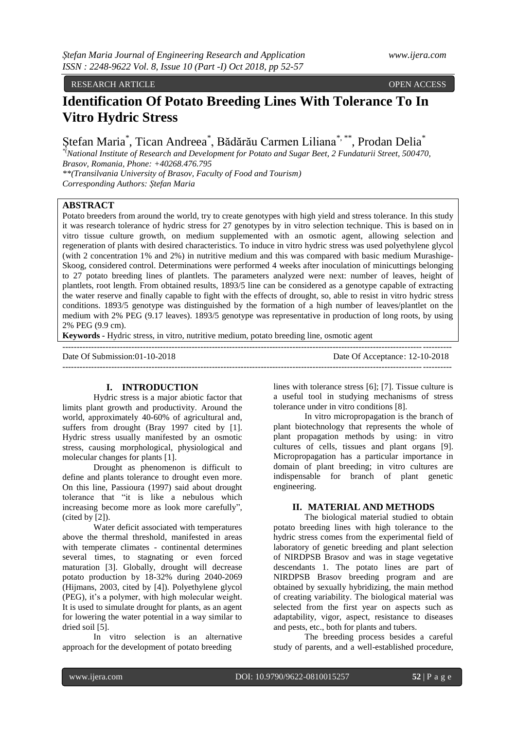#### RESEARCH ARTICLE OPEN ACCESS

# **Identification Of Potato Breeding Lines With Tolerance To In Vitro Hydric Stress**

Ștefan Maria<sup>\*</sup>, Tican Andreea<sup>\*</sup>, Bădărău Carmen Liliana<sup>\*, \*\*</sup>, Prodan Delia<sup>\*</sup>

*\*(National Institute of Research and Development for Potato and Sugar Beet, 2 Fundaturii Street, 500470, Brasov, Romania, Phone: +40268.476.795*

*\*\*(Transilvania University of Brasov, Faculty of Food and Tourism) Corresponding Authors: Ștefan Maria*

# **ABSTRACT**

Potato breeders from around the world, try to create genotypes with high yield and stress tolerance. In this study it was research tolerance of hydric stress for 27 genotypes by in vitro selection technique. This is based on in vitro tissue culture growth, on medium supplemented with an osmotic agent, allowing selection and regeneration of plants with desired characteristics. To induce in vitro hydric stress was used polyethylene glycol (with 2 concentration 1% and 2%) in nutritive medium and this was compared with basic medium Murashige-Skoog, considered control. Determinations were performed 4 weeks after inoculation of minicuttings belonging to 27 potato breeding lines of plantlets. The parameters analyzed were next: number of leaves, height of plantlets, root length. From obtained results, 1893/5 line can be considered as a genotype capable of extracting the water reserve and finally capable to fight with the effects of drought, so, able to resist in vitro hydric stress conditions. 1893/5 genotype was distinguished by the formation of a high number of leaves/plantlet on the medium with 2% PEG (9.17 leaves). 1893/5 genotype was representative in production of long roots, by using 2% PEG (9.9 cm).

**Keywords -** Hydric stress, in vitro, nutritive medium, potato breeding line, osmotic agent

| Date Of Submission:01-10-2018 | Date Of Acceptance: 12-10-2018 |
|-------------------------------|--------------------------------|
|                               |                                |

## **I. INTRODUCTION**

Hydric stress is a major abiotic factor that limits plant growth and productivity. Around the world, approximately 40-60% of agricultural and, suffers from drought (Bray 1997 cited by [1]. Hydric stress usually manifested by an osmotic stress, causing morphological, physiological and molecular changes for plants [1].

Drought as phenomenon is difficult to define and plants tolerance to drought even more. On this line, Passioura (1997) said about drought tolerance that "it is like a nebulous which increasing become more as look more carefully", (cited by [2]).

Water deficit associated with temperatures above the thermal threshold, manifested in areas with temperate climates - continental determines several times, to stagnating or even forced maturation [3]. Globally, drought will decrease potato production by 18-32% during 2040-2069 (Hijmans, 2003, cited by [4]). Polyethylene glycol (PEG), it's a polymer, with high molecular weight. It is used to simulate drought for plants, as an agent for lowering the water potential in a way similar to dried soil [5].

In vitro selection is an alternative approach for the development of potato breeding

lines with tolerance stress [6]; [7]. Tissue culture is a useful tool in studying mechanisms of stress tolerance under in vitro conditions [8].

In vitro micropropagation is the branch of plant biotechnology that represents the whole of plant propagation methods by using: in vitro cultures of cells, tissues and plant organs [9]. Micropropagation has a particular importance in domain of plant breeding; in vitro cultures are indispensable for branch of plant genetic engineering.

## **II. MATERIAL AND METHODS**

The biological material studied to obtain potato breeding lines with high tolerance to the hydric stress comes from the experimental field of laboratory of genetic breeding and plant selection of NIRDPSB Brasov and was in stage vegetative descendants 1. The potato lines are part of NIRDPSB Brasov breeding program and are obtained by sexually hybridizing, the main method of creating variability. The biological material was selected from the first year on aspects such as adaptability, vigor, aspect, resistance to diseases and pests, etc., both for plants and tubers.

The breeding process besides a careful study of parents, and a well-established procedure,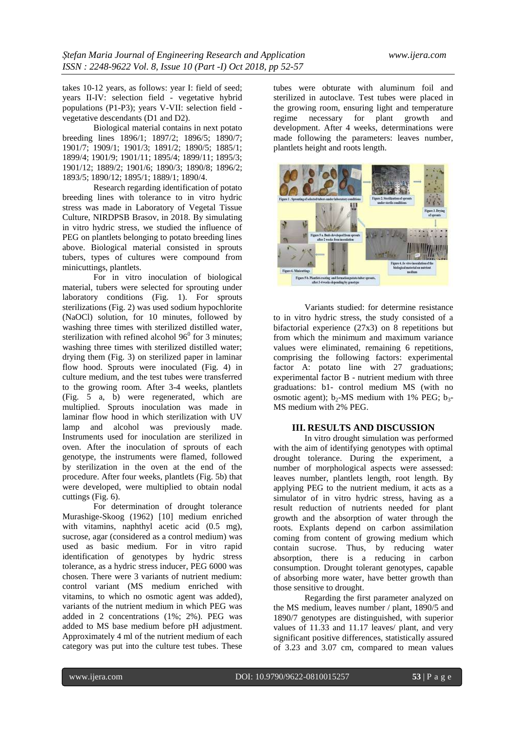takes 10-12 years, as follows: year I: field of seed; years II-IV: selection field - vegetative hybrid populations (P1-P3); years V-VII: selection field vegetative descendants (D1 and D2).

Biological material contains in next potato breeding lines 1896/1; 1897/2; 1896/5; 1890/7; 1901/7; 1909/1; 1901/3; 1891/2; 1890/5; 1885/1; 1899/4; 1901/9; 1901/11; 1895/4; 1899/11; 1895/3; 1901/12; 1889/2; 1901/6; 1890/3; 1890/8; 1896/2; 1893/5; 1890/12; 1895/1; 1889/1; 1890/4.

Research regarding identification of potato breeding lines with tolerance to in vitro hydric stress was made in Laboratory of Vegetal Tissue Culture, NIRDPSB Brasov, in 2018. By simulating in vitro hydric stress, we studied the influence of PEG on plantlets belonging to potato breeding lines above. Biological material consisted in sprouts tubers, types of cultures were compound from minicuttings, plantlets.

For in vitro inoculation of biological material, tubers were selected for sprouting under laboratory conditions (Fig. 1). For sprouts sterilizations (Fig. 2) was used sodium hypochlorite (NaOCl) solution, for 10 minutes, followed by washing three times with sterilized distilled water, sterilization with refined alcohol  $96^{\circ}$  for 3 minutes; washing three times with sterilized distilled water; drying them (Fig. 3) on sterilized paper in laminar flow hood. Sprouts were inoculated (Fig. 4) in culture medium, and the test tubes were transferred to the growing room. After 3-4 weeks, plantlets (Fig. 5 a, b) were regenerated, which are multiplied. Sprouts inoculation was made in laminar flow hood in which sterilization with UV lamp and alcohol was previously made. Instruments used for inoculation are sterilized in oven. After the inoculation of sprouts of each genotype, the instruments were flamed, followed by sterilization in the oven at the end of the procedure. After four weeks, plantlets (Fig. 5b) that were developed, were multiplied to obtain nodal cuttings (Fig. 6).

For determination of drought tolerance Murashige-Skoog (1962) [10] medium enriched with vitamins, naphthyl acetic acid (0.5 mg), sucrose, agar (considered as a control medium) was used as basic medium. For in vitro rapid identification of genotypes by hydric stress tolerance, as a hydric stress inducer, PEG 6000 was chosen. There were 3 variants of nutrient medium: control variant (MS medium enriched with vitamins, to which no osmotic agent was added), variants of the nutrient medium in which PEG was added in 2 concentrations (1%; 2%). PEG was added to MS base medium before pH adjustment. Approximately 4 ml of the nutrient medium of each category was put into the culture test tubes. These

tubes were obturate with aluminum foil and sterilized in autoclave. Test tubes were placed in the growing room, ensuring light and temperature<br>regime necessary for plant growth and necessary for plant growth and development. After 4 weeks, determinations were made following the parameters: leaves number, plantlets height and roots length.



Variants studied: for determine resistance to in vitro hydric stress, the study consisted of a bifactorial experience (27x3) on 8 repetitions but from which the minimum and maximum variance values were eliminated, remaining 6 repetitions, comprising the following factors: experimental factor A: potato line with 27 graduations; experimental factor B - nutrient medium with three graduations: b1- control medium MS (with no osmotic agent);  $b_2$ -MS medium with 1% PEG;  $b_3$ -MS medium with 2% PEG.

## **III. RESULTS AND DISCUSSION**

In vitro drought simulation was performed with the aim of identifying genotypes with optimal drought tolerance. During the experiment, a number of morphological aspects were assessed: leaves number, plantlets length, root length. By applying PEG to the nutrient medium, it acts as a simulator of in vitro hydric stress, having as a result reduction of nutrients needed for plant growth and the absorption of water through the roots. Explants depend on carbon assimilation coming from content of growing medium which contain sucrose. Thus, by reducing water absorption, there is a reducing in carbon consumption. Drought tolerant genotypes, capable of absorbing more water, have better growth than those sensitive to drought.

Regarding the first parameter analyzed on the MS medium, leaves number / plant, 1890/5 and 1890/7 genotypes are distinguished, with superior values of 11.33 and 11.17 leaves/ plant, and very significant positive differences, statistically assured of 3.23 and 3.07 cm, compared to mean values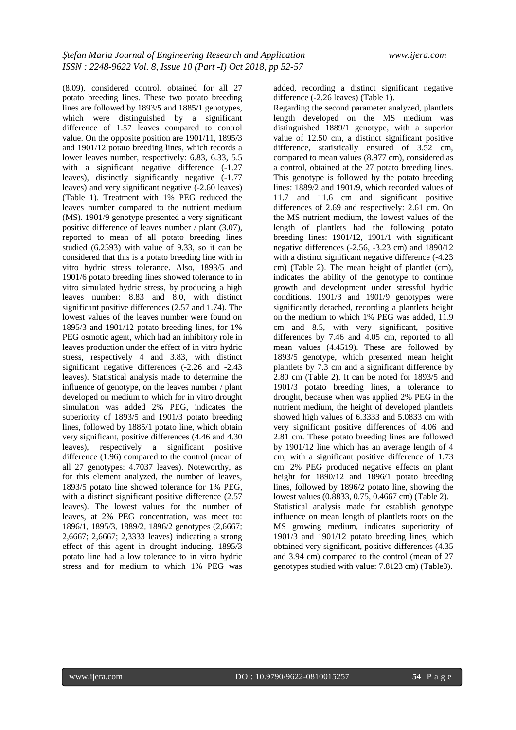(8.09), considered control, obtained for all 27 potato breeding lines. These two potato breeding lines are followed by 1893/5 and 1885/1 genotypes, which were distinguished by a significant difference of 1.57 leaves compared to control value. On the opposite position are 1901/11, 1895/3 and 1901/12 potato breeding lines, which records a lower leaves number, respectively: 6.83, 6.33, 5.5 with a significant negative difference  $(-1.27)$ leaves), distinctly significantly negative (-1.77 leaves) and very significant negative (-2.60 leaves) (Table 1). Treatment with 1% PEG reduced the leaves number compared to the nutrient medium (MS). 1901/9 genotype presented a very significant positive difference of leaves number / plant (3.07), reported to mean of all potato breeding lines studied (6.2593) with value of 9.33, so it can be considered that this is a potato breeding line with in vitro hydric stress tolerance. Also, 1893/5 and 1901/6 potato breeding lines showed tolerance to in vitro simulated hydric stress, by producing a high leaves number: 8.83 and 8.0, with distinct significant positive differences (2.57 and 1.74). The lowest values of the leaves number were found on 1895/3 and 1901/12 potato breeding lines, for 1% PEG osmotic agent, which had an inhibitory role in leaves production under the effect of in vitro hydric stress, respectively 4 and 3.83, with distinct significant negative differences (-2.26 and -2.43 leaves). Statistical analysis made to determine the influence of genotype, on the leaves number / plant developed on medium to which for in vitro drought simulation was added 2% PEG, indicates the superiority of 1893/5 and 1901/3 potato breeding lines, followed by 1885/1 potato line, which obtain very significant, positive differences (4.46 and 4.30 leaves), respectively a significant positive difference (1.96) compared to the control (mean of all 27 genotypes: 4.7037 leaves). Noteworthy, as for this element analyzed, the number of leaves, 1893/5 potato line showed tolerance for 1% PEG, with a distinct significant positive difference  $(2.57)$ leaves). The lowest values for the number of leaves, at 2% PEG concentration, was meet to: 1896/1, 1895/3, 1889/2, 1896/2 genotypes (2,6667; 2,6667; 2,6667; 2,3333 leaves) indicating a strong effect of this agent in drought inducing. 1895/3 potato line had a low tolerance to in vitro hydric stress and for medium to which 1% PEG was

added, recording a distinct significant negative difference (-2.26 leaves) (Table 1).

Regarding the second parameter analyzed, plantlets length developed on the MS medium was distinguished 1889/1 genotype, with a superior value of 12.50 cm, a distinct significant positive difference, statistically ensured of 3.52 cm, compared to mean values (8.977 cm), considered as a control, obtained at the 27 potato breeding lines. This genotype is followed by the potato breeding lines: 1889/2 and 1901/9, which recorded values of 11.7 and 11.6 cm and significant positive differences of 2.69 and respectively: 2.61 cm. On the MS nutrient medium, the lowest values of the length of plantlets had the following potato breeding lines: 1901/12, 1901/1 with significant negative differences (-2.56, -3.23 cm) and 1890/12 with a distinct significant negative difference (-4.23 cm) (Table 2). The mean height of plantlet (cm), indicates the ability of the genotype to continue growth and development under stressful hydric conditions. 1901/3 and 1901/9 genotypes were significantly detached, recording a plantlets height on the medium to which 1% PEG was added, 11.9 cm and 8.5, with very significant, positive differences by 7.46 and 4.05 cm, reported to all mean values (4.4519). These are followed by 1893/5 genotype, which presented mean height plantlets by 7.3 cm and a significant difference by 2.80 cm (Table 2). It can be noted for 1893/5 and 1901/3 potato breeding lines, a tolerance to drought, because when was applied 2% PEG in the nutrient medium, the height of developed plantlets showed high values of 6.3333 and 5.0833 cm with very significant positive differences of 4.06 and 2.81 cm. These potato breeding lines are followed by 1901/12 line which has an average length of 4 cm, with a significant positive difference of 1.73 cm. 2% PEG produced negative effects on plant height for 1890/12 and 1896/1 potato breeding lines, followed by 1896/2 potato line, showing the lowest values (0.8833, 0.75, 0.4667 cm) (Table 2). Statistical analysis made for establish genotype influence on mean length of plantlets roots on the MS growing medium, indicates superiority of 1901/3 and 1901/12 potato breeding lines, which obtained very significant, positive differences (4.35 and 3.94 cm) compared to the control (mean of 27 genotypes studied with value: 7.8123 cm) (Table3).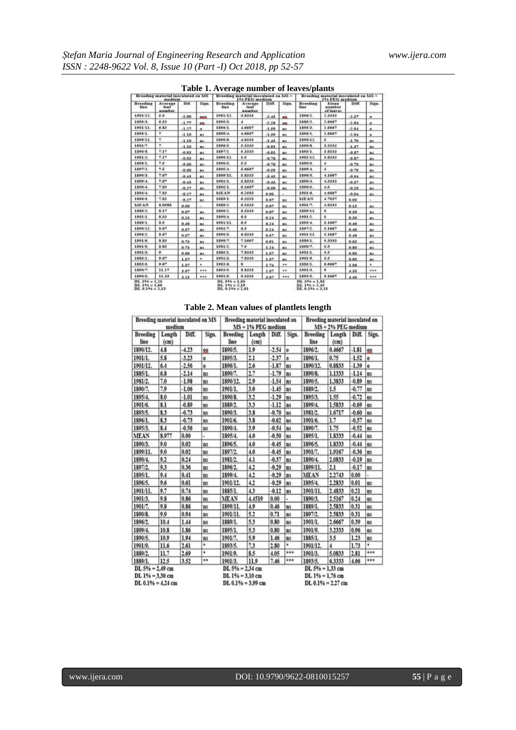| Table 1. Average number of leaves/plants |  |
|------------------------------------------|--|
|------------------------------------------|--|

| Breeding material mornlated on MS<br>medium |                                |         |             |                         | Breading material inoculated on MS -<br>150 PEG medium |         |                | Breading material inoculated on MS +<br>256 PEG medium |                                       |         |              |  |
|---------------------------------------------|--------------------------------|---------|-------------|-------------------------|--------------------------------------------------------|---------|----------------|--------------------------------------------------------|---------------------------------------|---------|--------------|--|
| Branding<br>line                            | Average<br>$1 + 61$<br>number. | Dif.    | Sign.       | Breeding<br><b>Himm</b> | Average<br>leaf<br>number                              | Diff.   | Sixn.          | Branding<br>line                                       | <b>Maan</b><br>aussiber<br>of lasyon. | Diff.   | Sign.        |  |
| 1901/12                                     | 系质                             | $-2.60$ | 000         | 1901/12                 | 33333                                                  | $-2.43$ | ao.            | 1896/3.                                                | 2.3333                                | $-2.27$ | o:           |  |
| 189813                                      | 6.33                           | $-1.77$ | <b>bb</b>   | 1805/3                  | ٠                                                      | $-2.26$ | ao             | 1889/2.                                                | 2.6667                                | $-2.04$ | ø.           |  |
| 1901/11                                     | 6.83                           | $-1.27$ | as.         | 1896/1.                 | 4.6667                                                 | $-1.89$ | **             | 1895.3.                                                | 3.6667                                | $-2.04$ | $\mathbf{a}$ |  |
| 1895/1.                                     | ٠                              | 1.10    | ms.         | 1599/4                  | 4.6667                                                 | $-1.69$ |                | 1896/1.                                                | 2.6667                                | $-2.04$ | a.           |  |
| 1599/11                                     | ۳                              | $-1.10$ | <b>BEE</b>  | 1590/8                  | 4.8333                                                 | $-1.43$ | BS.            | 1890/12                                                | э                                     | $-1.70$ | na           |  |
| 1901/7.                                     | ٠                              | $-1.10$ | <b>HILL</b> | 1896/5                  | 5,3333                                                 | $-0.93$ | n:             | 1890/8                                                 | 33333                                 | $-1.37$ | us           |  |
| 1890.8.                                     | 7.17                           | $-0.93$ | <b>BEE</b>  | 1897/2                  | 5,3333                                                 | $-0.93$ | <b>BUT</b>     | 1898/1.                                                | 3.8333                                | $-0.07$ | m            |  |
| 1981/3.                                     | 7.17                           | $-0.93$ | <b>n</b> ic | 1890/13                 | 8.8.                                                   | $-0.76$ | m              | 1901/12                                                | 3.8333                                | $-0.87$ | us           |  |
| 18967.                                      | 4.6                            | $-0.60$ | m           | 1890/6.                 | S.B                                                    | $-0.76$ | m              | 1890 3.                                                | ٠                                     | $-0.70$ | ns.          |  |
| 18072.                                      | 光屏                             | $-0.60$ | m           | 1805/4                  | 6.6667                                                 | $-0.89$ | 18.1           | 189914.                                                | x                                     | $-0.70$ | us.          |  |
| 1896 3.                                     | 7.67                           | 0.43    | mii.        | 1599/11.                | 6.5333                                                 | 0.43.   | mi             | 1596/5.                                                | 4.1607                                | 0.64    | ms.          |  |
| 1899/4                                      | 7.67                           | 0.43    | m           | 1901/1                  | 5.5333                                                 | 0.43.   | мi             | 1890/4.                                                | 4.3333                                | 0.37    | m            |  |
| 1890 4.                                     | 7.83                           | 0.27    | m           | 1895/1                  | 6,1667                                                 | 0.99.   | as.            | 1890.6.                                                | 48                                    | 0.20    | us.          |  |
| 189614                                      | 7.83                           | $-0.27$ | m           | <b>MEAN</b>             | 6,2593                                                 | 0.00    |                | 1901.0.                                                | 4 6667                                | $-0.04$ | III.         |  |
| 1896%                                       | 7.83                           | $-0.27$ | m.          | 1889/1                  | 6.3333                                                 | 0.07    | ms             | <b>MEAN</b>                                            | 4.7037                                | 0.00    | v            |  |
| <b>MEAN</b>                                 | <b>S.OPNS</b>                  | 0.00    |             | 1999/2                  | 6.3333                                                 | 0.07    | m              | 1001/7.                                                | 49333                                 | 0.13    | us           |  |
| 1859/2.                                     | 9.37                           | 0.07    | $_{\rm H1}$ | 1896/2                  | 6.3333                                                 | 0.07    | #1             | 1899/11                                                | ×                                     | 0.30    | us           |  |
| 1901/1                                      | \$33                           | 0.23    | 311         | 1500/4                  | 6.8                                                    | 0.24    | #1             | 1931/3                                                 | s                                     | 0.30    | ns           |  |
| 1539/1                                      | 3.5                            | 0.40    | 313         | 1901/11                 | 6.8                                                    | 0.24    | ma.            | 1595/4                                                 | 5.1667                                | 0.46    | ua.          |  |
| 1890/12                                     | 9.67                           | 0.67    | $n_{\rm I}$ | 1901/7                  | 6.5                                                    | 0.24    | <b>BY</b>      | 1597/2                                                 | 5.1667                                | 0.46    | 82           |  |
| 1896/2.                                     | \$ 67                          | 0.67    | <b>HE</b>   | 1898/3.                 | 6.8333                                                 | 0.67    | n <sub>1</sub> | 1991/11                                                | 5.1667                                | 0.46    | ns:          |  |
| 1901/6                                      | 5.53                           | 0.73    | m           | 1890/7                  | 7.1667                                                 | 0.01    | <b>HK</b>      | 1839.1.                                                | 5,3333                                | 0.63    | m            |  |
| 1901/9                                      | 8.88                           | 0.73    | ms.         | 1981/2                  | 7.5                                                    | 1.24    | ma.            | 1890/7.                                                | 5.5                                   | 0.80    | m            |  |
| 1901/3.                                     | ٠                              | 0.99    | ms:         | 1886/1                  | 7.8333                                                 | 1.67    | <b>BLS</b>     | 1981/1.                                                | 8.8                                   | 0.50    | m            |  |
| 1835.1.                                     | 9.67                           | 1.87    | $\bullet$   | 1901/5.                 | 7.8333                                                 | 1.67    | as.            | 1901/9.                                                | 8.8                                   | 0.80    | HS.          |  |
| 1893.6.                                     | 9.67                           | 1.67    | ٠           | 1901/6                  | a                                                      | 1.74    | $\cdots$       | 1885/1.                                                | 6,6667                                | 1.96    | ٠            |  |
| 1890/7                                      | 11.17                          | 3.67    |             | 1893/8                  | 8.8333                                                 | 2.87    |                | 1901/3.                                                | ۰                                     | 4.30    | 1.14         |  |
| 1699.5.                                     | 11.33                          | 3,23    | ***         | 1901/9.                 | 9.3333                                                 | 3.07    |                | 1693 5.                                                | 9.1667                                | 4.46    | ***          |  |

## **Table 2. Mean values of plantlets length**

| Breeding material inoculated on MS<br>medium              |                |         | Breeding material inoculated on<br>MS + 1% PEG medium |                                                                |                |                                                              | Breeding material inoculated on<br>MS + 2% PEG medium |                         |                |         |                     |
|-----------------------------------------------------------|----------------|---------|-------------------------------------------------------|----------------------------------------------------------------|----------------|--------------------------------------------------------------|-------------------------------------------------------|-------------------------|----------------|---------|---------------------|
| <b>Breeding</b><br>line                                   | Length<br>(cm) | Diff    | Sign.                                                 | <b>Breeding</b><br>line                                        | Length<br>(cm) | Diff.                                                        | Sign.                                                 | <b>Breeding</b><br>line | Length<br>(cm) | Diff.   | Sign.               |
| 1890/12.                                                  | 4.8            | $-4.23$ | 00                                                    | 1890/5.                                                        | 1.9            | $-2.54$                                                      | $\ddot{\mathbf{o}}$                                   | 1896/2.                 | 0.4667         | $-1.81$ | 00                  |
| 1901/1.                                                   | 5.8            | $-3.23$ | $\ddot{\mathbf{o}}$                                   | 1895/3.                                                        | 2.1            | $-2.37$                                                      | $\bullet$                                             | 1896/1.                 | 0.75           | $-1.52$ | $\bullet$           |
| 1901/12.                                                  | 6.4            | .2.56   | ó                                                     | 1896/1.                                                        | 2.6            | $-1.87$                                                      | ns                                                    | 1890/12.                | 0.8833         | $-1.39$ | $\ddot{\mathbf{o}}$ |
| 1885/1.                                                   | 6.8            | $-2.14$ | ms                                                    | 1890/7.                                                        | 2.7            | $-1.79$                                                      | ns                                                    | 1890/8.                 | 1.1333         | $-1.14$ | ns                  |
| 1981/2.                                                   | 7.0            | $-1.98$ | ns.                                                   | 1890/12.                                                       | 2.9            | $-1.54$                                                      | ns                                                    | 1890/5.                 | 1.3833         | $-0.89$ | ns.                 |
| 1890/7.                                                   | 7.9            | $-1.06$ | ns                                                    | 1901/1.                                                        | 3.0            | $-1.45$                                                      | ns                                                    | 1889/2.                 | 1.5            | $-0.77$ | <b>ns</b>           |
| 1895/4.                                                   | 8.0            | $-1.01$ | ns                                                    | 1890/8.                                                        | 3.2            | $-1.29$                                                      | ns.                                                   | 1895/3.                 | 1.55           | $-0.72$ | ns                  |
| 1901/6.                                                   | 8.1            | $-0.89$ | ms                                                    | 1889/2.                                                        | 3.3            | $-1.12$                                                      | ns.                                                   | 1899/4.                 | 1.5833         | $-0.69$ | ns.                 |
| 1893/5.                                                   | 83             | $-0.73$ | ns                                                    | 1890/3.                                                        | 3.8            | $-0.70$                                                      | ns.                                                   | 1981/2.                 | 1.6717         | $-0.60$ | ns.                 |
| 1896/1                                                    | 8.3            | $-0.73$ | ns                                                    | 1901/6.                                                        | 3.8            | $-0.62$                                                      | ns.                                                   | 1901/6.                 | 1.7            | $-0.57$ | ns.                 |
| 1895/3.                                                   | 8.4            | $-0.56$ | ns                                                    | 1890/4.                                                        | 3.9            | $-0.54$                                                      | ns.                                                   | 1890/7.                 | 1.75           | $-0.52$ | ns.                 |
| <b>MEAN</b>                                               | 8.977          | 0.00    | ä,                                                    | 1895/4.                                                        | 4.0            | $-0.50$                                                      | ms                                                    | 1895/1.                 | 1.8333         | $-0.44$ | ns.                 |
| 1890/3.                                                   | 9.0            | 0.02    | ns                                                    | 1896/5.                                                        | 4.0            | $-0.45$                                                      | ns.                                                   | 1896/5.                 | 1.8333         | $-0.44$ | ns.                 |
| 1899/11.                                                  | 9.0            | 0.02    | ns.                                                   | 1897/2.                                                        | 4.0            | $-0.45$                                                      | ns.                                                   | 1901/7.                 | 1.9167         | $-0.36$ | ns                  |
| 1890/4.                                                   | 9.2            | 0.24    | ns                                                    | 1981/2.                                                        | 4.1            | $-0.37$                                                      | ns.                                                   | 1890/4.                 | 2.0833         | $-0.19$ | ns.                 |
| 1897/2.                                                   | 9.3            | 0.36    | <b>ns</b>                                             | 1896/2.                                                        | 4.2            | $-0.29$                                                      | ns.                                                   | 1899/11.                | 2.1            | $-0.17$ | <b>ns</b>           |
| 1895/1.                                                   | 9.4            | 0.41    | ns                                                    | 1899/4.                                                        | 4.2            | $-0.29$                                                      | ns                                                    | MEAN                    | 2.2743         | 0.00    |                     |
| 1896/5.                                                   | 9.6            | 0.61    | ns                                                    | 1901/12.                                                       | 4.2            | $-0.29$                                                      | ns                                                    | 1895/4.                 | 2.2833         | 0.01    | BS.                 |
| 1901/11.                                                  | 9.7            | 0.74    | ns                                                    | 1885/1.                                                        | 4.3            | $-0.12$                                                      | ns.                                                   | 1901/11.                | 2.4833         | 0.21    | ns.                 |
| 1901/3.                                                   | 9.8            | 0.86    | ns.                                                   | <b>MEAN</b>                                                    | 4.4519         | 0.00                                                         | ×.                                                    | 1890/3.                 | 2.5167         | 0.24    | ns.                 |
| 1901/7.                                                   | 9.8            | 0.86    | ns                                                    | 1899/11.                                                       | 4.9            | 0.46                                                         | ns                                                    | 1889/1.                 | 2.5833         | 0.31    | ns.                 |
| 1890/8.                                                   | 9.9            | 0.94    | ns                                                    | 1901/11.                                                       | 5.2            | 0.71                                                         | ns                                                    | 1897/2.                 | 2.5833         | 0.31    | <b>BS</b>           |
| 1896/2.                                                   | 10.4           | 1.44    | ns                                                    | 1889/1.                                                        | 53             | 0.80                                                         | ns                                                    | 1901/1.                 | 2.6667         | 0.39    | ns                  |
| 1899/4.                                                   | 10.8           | 1.86    | ns.                                                   | 1895/1.                                                        | 5.3            | 0.80                                                         | ns                                                    | 1901/9.                 | 3,2333         | 0.96    | ns                  |
| 1890/5.                                                   | 10.9           | 1.94    | ns.                                                   | 1901/7.                                                        | 5.9            | 1.46                                                         | ns.                                                   | 1885/1.                 | 3.5            | 1.23    | ns                  |
| 1901/9.                                                   | 11.6           | 2.61    | ٠                                                     | 1893/5.                                                        | 73             | 2.80                                                         | ٠                                                     | 1901/12.                | 4              | 1.73    | ¥.                  |
| 1889/2.                                                   | 11.7           | 2.69    | ۰                                                     | 1901/9.                                                        | 8.5            | 4.05                                                         | $***$                                                 | 1901/3.                 | 5.0833         | 2.81    | $***$               |
| 1889/1.                                                   | 12.5           | 3.52    | ٠                                                     | 1901/3.                                                        | 11.9           | 7.46                                                         | $***$                                                 | 1893/5.                 | 6.3333         | 4.06    | ***                 |
| DL 5% = 2.49 cm<br>DL 1% = 3,30 cm<br>$DL 0.1% = 4.24 cm$ |                |         |                                                       | $DL 5% = 2.34 cm$<br>$DL 1% = 3.10 cm$<br>$DL 0.1\% = 3.99$ cm |                | DL 5% = 1.33 cm<br>$DL 1% = 1.76 cm$<br>$DL 0.1\% = 2.27 cm$ |                                                       |                         |                |         |                     |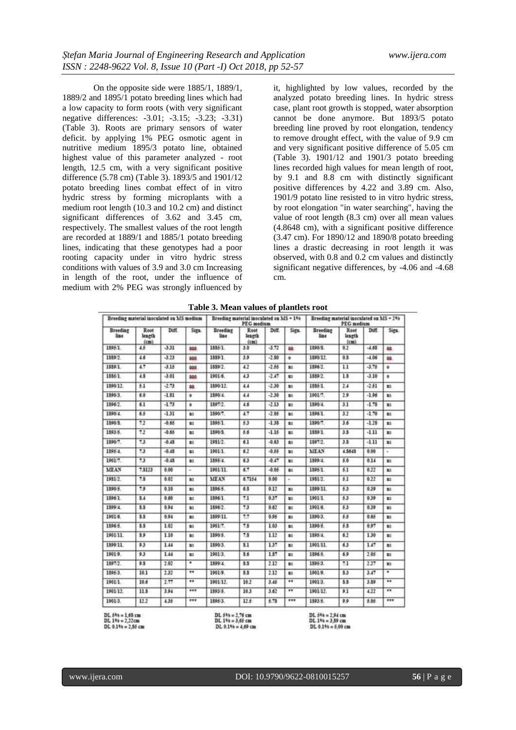On the opposite side were 1885/1, 1889/1, 1889/2 and 1895/1 potato breeding lines which had a low capacity to form roots (with very significant negative differences: -3.01; -3.15; -3.23; -3.31) (Table 3). Roots are primary sensors of water deficit. by applying 1% PEG osmotic agent in nutritive medium 1895/3 potato line, obtained highest value of this parameter analyzed - root length, 12.5 cm, with a very significant positive difference (5.78 cm) (Table 3). 1893/5 and 1901/12 potato breeding lines combat effect of in vitro hydric stress by forming microplants with a medium root length (10.3 and 10.2 cm) and distinct significant differences of 3.62 and 3.45 cm, respectively. The smallest values of the root length are recorded at 1889/1 and 1885/1 potato breeding lines, indicating that these genotypes had a poor rooting capacity under in vitro hydric stress conditions with values of 3.9 and 3.0 cm Increasing in length of the root, under the influence of medium with 2% PEG was strongly influenced by

it, highlighted by low values, recorded by the analyzed potato breeding lines. In hydric stress case, plant root growth is stopped, water absorption cannot be done anymore. But 1893/5 potato breeding line proved by root elongation, tendency to remove drought effect, with the value of 9.9 cm and very significant positive difference of 5.05 cm (Table 3). 1901/12 and 1901/3 potato breeding lines recorded high values for mean length of root, by 9.1 and 8.8 cm with distinctly significant positive differences by 4.22 and 3.89 cm. Also, 1901/9 potato line resisted to in vitro hydric stress, by root elongation "in water searching", having the value of root length (8.3 cm) over all mean values (4.8648 cm), with a significant positive difference (3.47 cm). For 1890/12 and 1890/8 potato breeding lines a drastic decreasing in root length it was observed, with 0.8 and 0.2 cm values and distinctly significant negative differences, by -4.06 and -4.68 cm.

| Breeding material inoculated on MS medium |                        |         | Breeding material inoculated on MS + 1%<br>PEG medium |                         |                        |         | Breeding material inoculated on MS = 2%<br><b>PEG</b> medium |                         |                        |         |                          |
|-------------------------------------------|------------------------|---------|-------------------------------------------------------|-------------------------|------------------------|---------|--------------------------------------------------------------|-------------------------|------------------------|---------|--------------------------|
| Breeding<br>line.                         | Root<br>length<br>(cm) | Diff.   | Sign.                                                 | <b>Breeding</b><br>line | Root<br>length<br>(cm) | Diff.   | Sign.                                                        | <b>Breeding</b><br>line | Root<br>length<br>(cm) | Diff.   | Sign.                    |
| 1895.1.                                   | 45                     | $-3.31$ | 000                                                   | 1885/1                  | 3.0                    | $-1.72$ | 80.                                                          | 1890-3.                 | 0.2                    | $-4.68$ | aa.                      |
| 1889/2                                    | 46                     | $-3.23$ | 800                                                   | 1889/1                  | 3.9                    | $-2.80$ | ۰                                                            | 1890/12                 | 0.5                    | $-1.06$ | GG.                      |
| 1889/1.                                   | 47                     | $-3.15$ | 400                                                   | 1889/2.                 | 4.2                    | $-2.55$ | m                                                            | 1896/2                  | 11                     | $-3.75$ | $\mathbf{a}$             |
| 1885/1                                    | 4.8                    | $-3.01$ | 899                                                   | 1901.6.                 | 43                     | $-2.47$ | m1                                                           | 1889/2                  | 1.8                    | $-3.10$ | ۰                        |
| 1890/12                                   | 6.1                    | $-2.73$ | 80.                                                   | 1890/12.                | 4.4                    | $-2.30$ | $\mathbf{m}$                                                 | 1885/1                  | 2.4                    | $-2.61$ | 81                       |
| 1890/3.                                   | 6.0                    | $-1.81$ | ۰                                                     | 1890/4                  | 4.4                    | $-2.30$ | B1                                                           | 1991/7.                 | 29                     | $-1.96$ | 數                        |
| 1896/2                                    | 6.1                    | $-1.73$ | ۰                                                     | 1897/2                  | 4.6                    | $-2.13$ | a:                                                           | 1590/4                  | 3.1                    | $-1.78$ | B1                       |
| 1890/4                                    | 65                     | $-1.31$ | ш                                                     | 1890/7.                 | 4.7                    | $-2.06$ | m                                                            | 1896/1.                 | 3.2                    | $-1.70$ | m                        |
| 1890-8.                                   | 7.2                    | $-0.66$ | m                                                     | 1895.1.                 | 53                     | $-1.38$ | m                                                            | 1890.7.                 | 36                     | $-1.28$ | 數                        |
| 1893/5.                                   | 72                     | $-0.65$ | m1                                                    | 1890/5.                 | 5.6                    | $-1.15$ | m1                                                           | 1889/1.                 | 3.5                    | $-111$  | Ei                       |
| 1896.7.                                   | 73                     | $-0.45$ | m.                                                    | 1981/2                  | 61                     | $-0.63$ | 81                                                           | 1897/2.                 | 3.5                    | $-111$  | 85                       |
| 1895/4                                    | 73                     | $-0.48$ | m:                                                    | 1901/1                  | 62                     | $-0.55$ | m                                                            | <b>MEAN</b>             | 4.5645                 | 0.00    |                          |
| 1901/7.                                   | 73                     | $-0.48$ | m.                                                    | 1895/4                  | 63                     | $-0.47$ | m                                                            | 1899.4                  | 5.0                    | 0.14    | m.                       |
| <b>MEAN</b>                               | 7.8123                 | 0.00    |                                                       | 1991/11.                | 6.7                    | $-0.06$ | m.                                                           | 1895.1.                 | 63                     | 0.22    | B5                       |
| 1981/2                                    | 7.8                    | 0.02    | as.                                                   | <b>MEAN</b>             | 6.7154                 | 0.00    | $\sim$                                                       | 1981/2                  | 61                     | 0.22    | <b>BI</b>                |
| 1890.6                                    | 79                     | 0.10    | ms.                                                   | 1896.5                  | 6.8                    | 0.12    | m.                                                           | 1899 11                 | 63                     | 0.39    | BS                       |
| 1896/1                                    | 5.4                    | 0.60    | as.                                                   | 1896/1                  | 71                     | 0.37    | m                                                            | 1901/1                  | 53                     | 0.39    | 勤                        |
| 1899 4.                                   | \$3                    | 0.94    | m.                                                    | 1896/2                  | 73                     | 0.62    | m                                                            | 1901/6.                 | 53                     | 0.39    | n:                       |
| 1901-6.                                   | \$\$                   | 0.94    | as.                                                   | 1899/11.                | 7.7                    | 0.95    | m                                                            | 1890/3                  | 55                     | 0.65    | m                        |
| 1896 5.                                   | 3.5                    | 1.02    | as.                                                   | 1901/7.                 | 7.5                    | 1.03    | m:                                                           | 1890 5.                 | 5.5                    | 0.97    | B1                       |
| 1901/11.                                  | 3.9                    | 1.10    | m                                                     | 1899/5.                 | 7.5                    | 1.12    | $\pm 1$                                                      | 1895/4                  | 62                     | 130     | 難                        |
| 1899/11                                   | 9.3                    | 1.44    | m                                                     | 1899/3.                 | 31                     | 137     | m                                                            | 1901/11                 | 63                     | 1.47    | <b>mi</b>                |
| 1901/9.                                   | 93                     | 144     | m.                                                    | 1901/3.                 | 8.6                    | 1.57    | B1                                                           | 1896 5.                 | 6.9                    | 2.05    | n:                       |
| 1897/2                                    | 9.8                    | 2.02    |                                                       | 1899/4                  | 8.5                    | 2.12    | a1                                                           | 1895/3.                 | 7.1                    | 2.27    | m                        |
| 18953.                                    | 10.1                   | 2.32    | $^{\ast\ast}$                                         | 1901/9.                 | \$3                    | 2.12    | m:                                                           | 1901/9.                 | \$3                    | 3.47    | $\overline{\phantom{0}}$ |
| 1901/1.                                   | 10.6                   | 2.77    |                                                       | 1901/12                 | 10.2                   | 3.45    | $^{\bullet\bullet}$                                          | 1901/3.                 | 3.5                    | 3.89    | $\cdots$                 |
| 1901/12                                   | 11.8                   | 3.94    | ***                                                   | 1893/5.                 | 10.3                   | 3.62    | **                                                           | 1901-12.                | 9.1                    | 4.22    | $\overline{\cdots}$      |
| 1901/3.                                   | 12.2                   | 4.35    |                                                       | 1895/3.                 | 12.5                   | 5.75    |                                                              | 1893.5.                 | 9.9                    | 5.05    | ***                      |

**Table 3. Mean values of plantlets root**